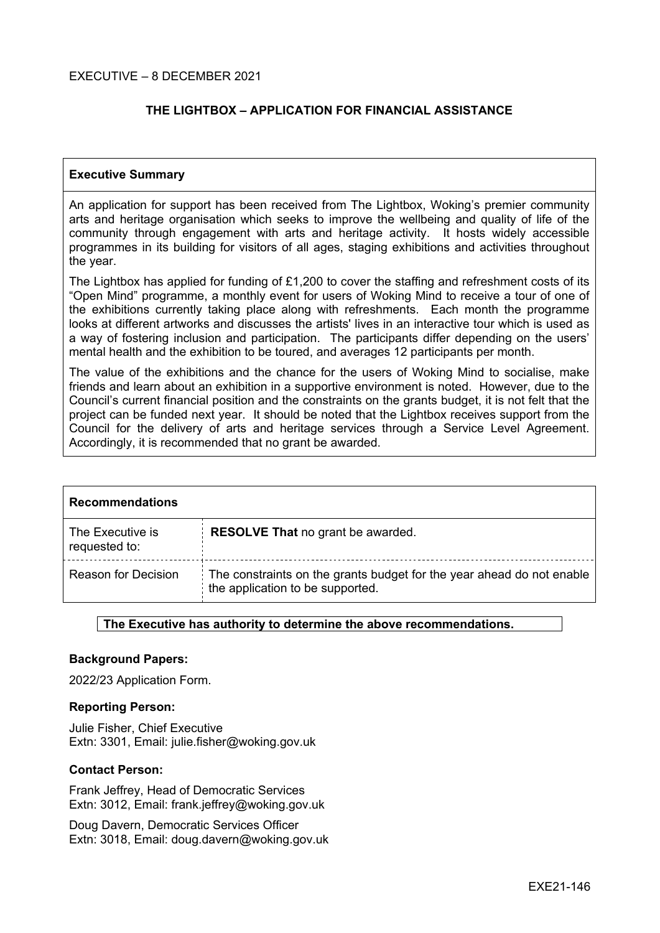## **THE LIGHTBOX – APPLICATION FOR FINANCIAL ASSISTANCE**

### **Executive Summary**

An application for support has been received from The Lightbox, Woking's premier community arts and heritage organisation which seeks to improve the wellbeing and quality of life of the community through engagement with arts and heritage activity. It hosts widely accessible programmes in its building for visitors of all ages, staging exhibitions and activities throughout the year.

The Lightbox has applied for funding of £1,200 to cover the staffing and refreshment costs of its "Open Mind" programme, a monthly event for users of Woking Mind to receive a tour of one of the exhibitions currently taking place along with refreshments. Each month the programme looks at different artworks and discusses the artists' lives in an interactive tour which is used as a way of fostering inclusion and participation. The participants differ depending on the users' mental health and the exhibition to be toured, and averages 12 participants per month.

The value of the exhibitions and the chance for the users of Woking Mind to socialise, make friends and learn about an exhibition in a supportive environment is noted. However, due to the Council's current financial position and the constraints on the grants budget, it is not felt that the project can be funded next year. It should be noted that the Lightbox receives support from the Council for the delivery of arts and heritage services through a Service Level Agreement. Accordingly, it is recommended that no grant be awarded.

| <b>Recommendations</b>            |                                                                                                           |  |  |
|-----------------------------------|-----------------------------------------------------------------------------------------------------------|--|--|
| The Executive is<br>requested to: | <b>RESOLVE That no grant be awarded.</b>                                                                  |  |  |
| <b>Reason for Decision</b>        | The constraints on the grants budget for the year ahead do not enable<br>the application to be supported. |  |  |

#### **The Executive has authority to determine the above recommendations.**

#### **Background Papers:**

2022/23 Application Form.

#### **Reporting Person:**

Julie Fisher, Chief Executive Extn: 3301, Email: julie.fisher@woking.gov.uk

#### **Contact Person:**

Frank Jeffrey, Head of Democratic Services Extn: 3012, Email: frank.jeffrey@woking.gov.uk

Doug Davern, Democratic Services Officer Extn: 3018, Email: doug.davern@woking.gov.uk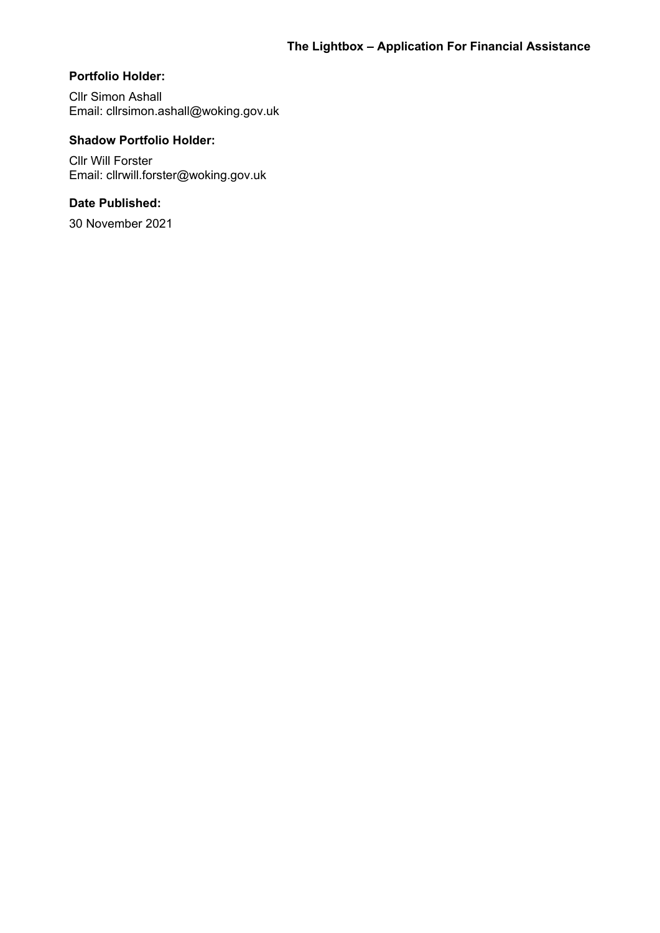## **Portfolio Holder:**

Cllr Simon Ashall Email: cllrsimon.ashall@woking.gov.uk

## **Shadow Portfolio Holder:**

Cllr Will Forster Email: cllrwill.forster@woking.gov.uk

## **Date Published:**

30 November 2021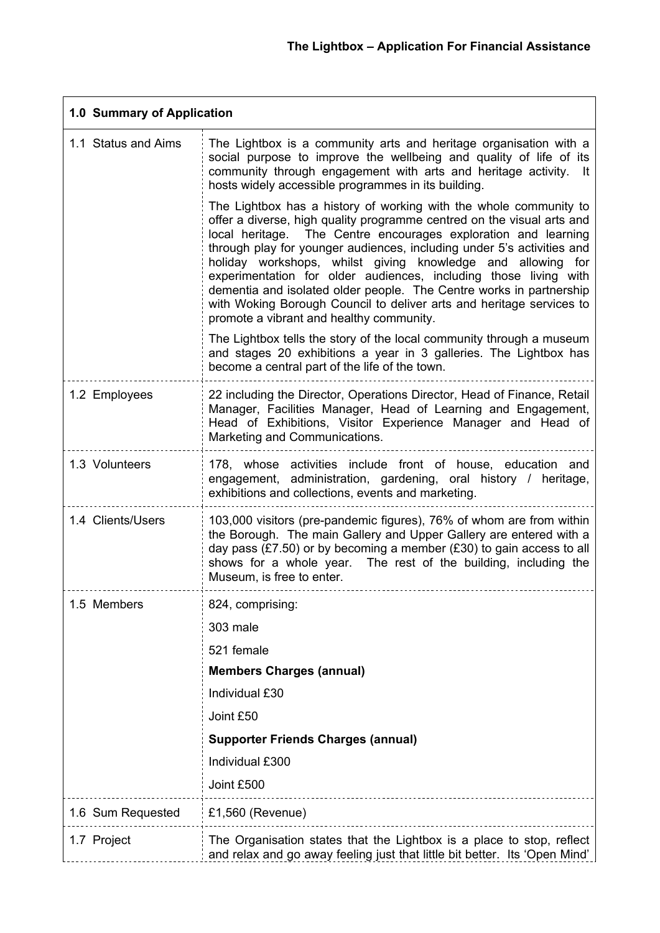| 1.0 Summary of Application |                                                                                                                                                                                                                                                                                                                                                                                                                                                                                                                                                                                                                          |  |  |
|----------------------------|--------------------------------------------------------------------------------------------------------------------------------------------------------------------------------------------------------------------------------------------------------------------------------------------------------------------------------------------------------------------------------------------------------------------------------------------------------------------------------------------------------------------------------------------------------------------------------------------------------------------------|--|--|
| 1.1 Status and Aims        | The Lightbox is a community arts and heritage organisation with a<br>social purpose to improve the wellbeing and quality of life of its<br>community through engagement with arts and heritage activity. It<br>hosts widely accessible programmes in its building.                                                                                                                                                                                                                                                                                                                                                       |  |  |
|                            | The Lightbox has a history of working with the whole community to<br>offer a diverse, high quality programme centred on the visual arts and<br>local heritage. The Centre encourages exploration and learning<br>through play for younger audiences, including under 5's activities and<br>holiday workshops, whilst giving knowledge and allowing<br>for<br>experimentation for older audiences, including those living with<br>dementia and isolated older people. The Centre works in partnership<br>with Woking Borough Council to deliver arts and heritage services to<br>promote a vibrant and healthy community. |  |  |
|                            | The Lightbox tells the story of the local community through a museum<br>and stages 20 exhibitions a year in 3 galleries. The Lightbox has<br>become a central part of the life of the town.                                                                                                                                                                                                                                                                                                                                                                                                                              |  |  |
| 1.2 Employees              | 22 including the Director, Operations Director, Head of Finance, Retail<br>Manager, Facilities Manager, Head of Learning and Engagement,<br>Head of Exhibitions, Visitor Experience Manager and Head of<br>Marketing and Communications.                                                                                                                                                                                                                                                                                                                                                                                 |  |  |
| 1.3 Volunteers             | 178, whose activities include front of house, education and<br>engagement, administration, gardening, oral history / heritage,<br>exhibitions and collections, events and marketing.                                                                                                                                                                                                                                                                                                                                                                                                                                     |  |  |
| 1.4 Clients/Users          | 103,000 visitors (pre-pandemic figures), 76% of whom are from within<br>the Borough. The main Gallery and Upper Gallery are entered with a<br>day pass (£7.50) or by becoming a member (£30) to gain access to all<br>shows for a whole year. The rest of the building, including the<br>Museum, is free to enter.                                                                                                                                                                                                                                                                                                       |  |  |
| 1.5 Members                | 824, comprising:                                                                                                                                                                                                                                                                                                                                                                                                                                                                                                                                                                                                         |  |  |
|                            | 303 male                                                                                                                                                                                                                                                                                                                                                                                                                                                                                                                                                                                                                 |  |  |
|                            | 521 female                                                                                                                                                                                                                                                                                                                                                                                                                                                                                                                                                                                                               |  |  |
|                            | <b>Members Charges (annual)</b>                                                                                                                                                                                                                                                                                                                                                                                                                                                                                                                                                                                          |  |  |
|                            | Individual £30                                                                                                                                                                                                                                                                                                                                                                                                                                                                                                                                                                                                           |  |  |
|                            | Joint £50                                                                                                                                                                                                                                                                                                                                                                                                                                                                                                                                                                                                                |  |  |
|                            | <b>Supporter Friends Charges (annual)</b>                                                                                                                                                                                                                                                                                                                                                                                                                                                                                                                                                                                |  |  |
|                            | Individual £300                                                                                                                                                                                                                                                                                                                                                                                                                                                                                                                                                                                                          |  |  |
|                            | Joint £500                                                                                                                                                                                                                                                                                                                                                                                                                                                                                                                                                                                                               |  |  |
| 1.6 Sum Requested          | $£1,560$ (Revenue)                                                                                                                                                                                                                                                                                                                                                                                                                                                                                                                                                                                                       |  |  |
| 1.7 Project                | The Organisation states that the Lightbox is a place to stop, reflect<br>and relax and go away feeling just that little bit better. Its 'Open Mind'                                                                                                                                                                                                                                                                                                                                                                                                                                                                      |  |  |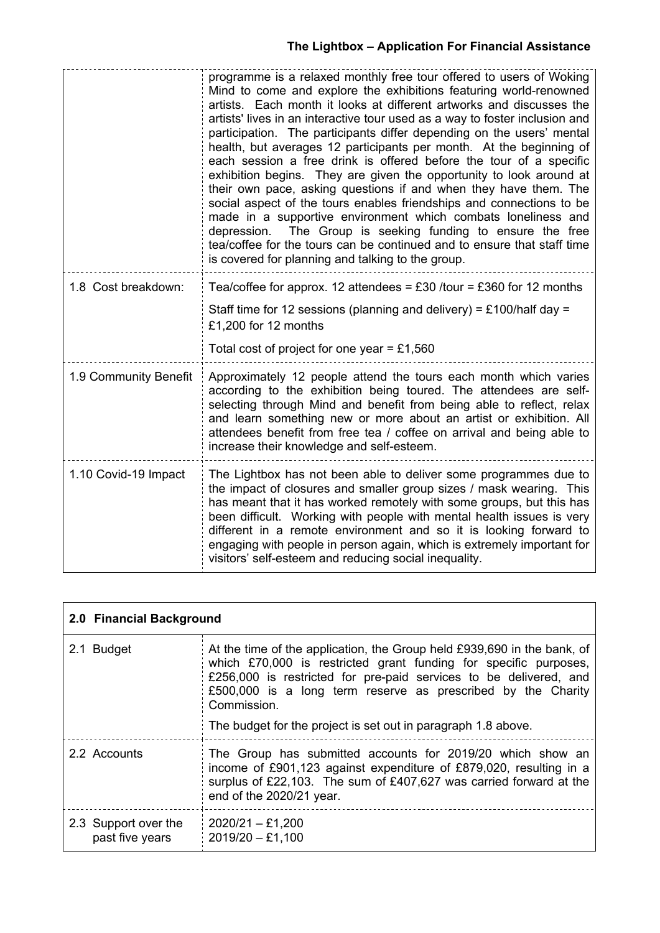# **The Lightbox – Application For Financial Assistance**

|                       | programme is a relaxed monthly free tour offered to users of Woking<br>Mind to come and explore the exhibitions featuring world-renowned<br>artists. Each month it looks at different artworks and discusses the<br>artists' lives in an interactive tour used as a way to foster inclusion and<br>participation. The participants differ depending on the users' mental<br>health, but averages 12 participants per month. At the beginning of<br>each session a free drink is offered before the tour of a specific<br>exhibition begins. They are given the opportunity to look around at<br>their own pace, asking questions if and when they have them. The<br>social aspect of the tours enables friendships and connections to be<br>made in a supportive environment which combats loneliness and<br>The Group is seeking funding to ensure the free<br>depression.<br>tea/coffee for the tours can be continued and to ensure that staff time<br>is covered for planning and talking to the group. |  |
|-----------------------|-------------------------------------------------------------------------------------------------------------------------------------------------------------------------------------------------------------------------------------------------------------------------------------------------------------------------------------------------------------------------------------------------------------------------------------------------------------------------------------------------------------------------------------------------------------------------------------------------------------------------------------------------------------------------------------------------------------------------------------------------------------------------------------------------------------------------------------------------------------------------------------------------------------------------------------------------------------------------------------------------------------|--|
| 1.8 Cost breakdown:   | Tea/coffee for approx. 12 attendees = £30 /tour = £360 for 12 months<br>Staff time for 12 sessions (planning and delivery) = £100/half day =<br>£1,200 for 12 months<br>Total cost of project for one year = £1,560                                                                                                                                                                                                                                                                                                                                                                                                                                                                                                                                                                                                                                                                                                                                                                                         |  |
| 1.9 Community Benefit | Approximately 12 people attend the tours each month which varies<br>according to the exhibition being toured. The attendees are self-<br>selecting through Mind and benefit from being able to reflect, relax<br>and learn something new or more about an artist or exhibition. All<br>attendees benefit from free tea / coffee on arrival and being able to<br>increase their knowledge and self-esteem.                                                                                                                                                                                                                                                                                                                                                                                                                                                                                                                                                                                                   |  |
| 1.10 Covid-19 Impact  | The Lightbox has not been able to deliver some programmes due to<br>the impact of closures and smaller group sizes / mask wearing. This<br>has meant that it has worked remotely with some groups, but this has<br>been difficult. Working with people with mental health issues is very<br>different in a remote environment and so it is looking forward to<br>engaging with people in person again, which is extremely important for<br>visitors' self-esteem and reducing social inequality.                                                                                                                                                                                                                                                                                                                                                                                                                                                                                                            |  |

| 2.0 Financial Background                |                                                                                                                                                                                                                                                                                                 |  |  |  |
|-----------------------------------------|-------------------------------------------------------------------------------------------------------------------------------------------------------------------------------------------------------------------------------------------------------------------------------------------------|--|--|--|
| 2.1 Budget                              | At the time of the application, the Group held £939,690 in the bank, of<br>which £70,000 is restricted grant funding for specific purposes,<br>£256,000 is restricted for pre-paid services to be delivered, and<br>£500,000 is a long term reserve as prescribed by the Charity<br>Commission. |  |  |  |
|                                         | The budget for the project is set out in paragraph 1.8 above.                                                                                                                                                                                                                                   |  |  |  |
| 2.2 Accounts                            | The Group has submitted accounts for 2019/20 which show an<br>income of £901,123 against expenditure of £879,020, resulting in a<br>surplus of £22,103. The sum of £407,627 was carried forward at the<br>end of the 2020/21 year.                                                              |  |  |  |
| 2.3 Support over the<br>past five years | $2020/21 - £1,200$<br>$2019/20 - £1,100$                                                                                                                                                                                                                                                        |  |  |  |